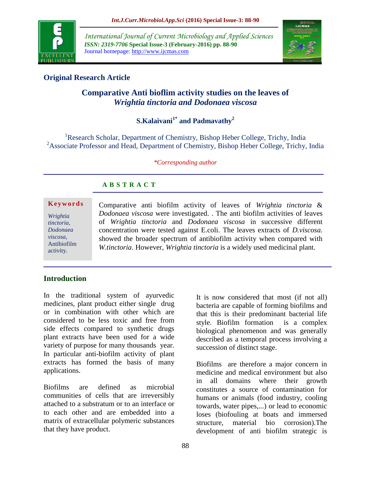

*International Journal of Current Microbiology and Applied Sciences ISSN: 2319-7706* **Special Issue-3 (February-2016) pp. 88-90** Journal homepage: http://www.ijcmas.com



## **Original Research Article**

# **Comparative Anti bioflim activity studies on the leaves of**  *Wrightia tinctoria and Dodonaea viscosa*

# **S.Kalaivani1\* and Padmavathy<sup>2</sup>**

<sup>1</sup>Research Scholar, Department of Chemistry, Bishop Heber College, Trichy, India <sup>2</sup>Associate Professor and Head, Department of Chemistry, Bishop Heber College, Trichy, India

*\*Corresponding author*

## **A B S T R A C T**

### **K e y w o r d s**

*Wrightia tinctoria, Dodonaea viscosa*, Antibiofilm activity.

Comparative anti biofilm activity of leaves of *Wrightia tinctoria* & *Dodonaea viscosa* were investigated. . The anti biofilm activities of leaves of *Wrightia tinctoria* and *Dodonaea viscosa* in successive different concentration were tested against E.coli. The leaves extracts of *D.viscosa.*  showed the broader spectrum of antibiofilm activity when compared with *W.tinctoria*. However, *Wrightia tinctoria* is a widely used medicinal plant.

## **Introduction**

In the traditional system of ayurvedic medicines, plant product either single drug or in combination with other which are considered to be less toxic and free from side effects compared to synthetic drugs plant extracts have been used for a wide variety of purpose for many thousands year. In particular anti-biofilm activity of plant extracts has formed the basis of many applications.

Biofilms are defined as microbial communities of cells that are irreversibly attached to a substratum or to an interface or to each other and are embedded into a matrix of extracellular polymeric substances that they have product.

It is now considered that most (if not all) bacteria are capable of forming biofilms and that this is their predominant bacterial life style. Biofilm formation is a complex biological phenomenon and was generally described as a temporal process involving a succession of distinct stage.

Biofilms are therefore a major concern in medicine and medical environment but also in all domains where their growth constitutes a source of contamination for humans or animals (food industry, cooling towards, water pipes,...) or lead to economic loses (biofouling at boats and immersed structure, material bio corrosion).The development of anti biofilm strategic is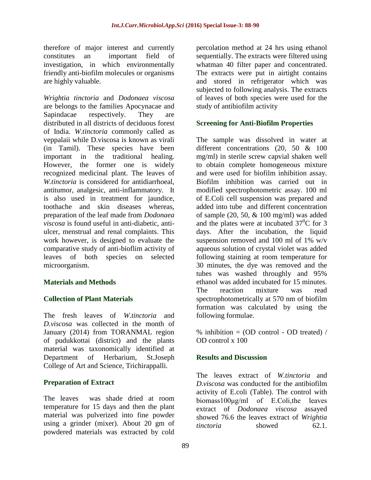therefore of major interest and currently constitutes an important field of investigation, in which environmentally friendly anti-biofilm molecules or organisms are highly valuable.

*Wrightia tinctoria* and *Dodonaea viscosa* are belongs to the families Apocynacae and Sapindacae respectively. They are distributed in all districts of deciduous forest of India. *W.tinctoria* commonly called as veppalaii while D.viscosa is known as virali (in Tamil). These species have been important in the traditional healing. However, the former one is widely recognized medicinal plant. The leaves of *W.tinctoria* is considered for antidiarrhoeal, antitumor, analgesic, anti-inflammatory. It is also used in treatment for jaundice, toothache and skin diseases whereas, preparation of the leaf made from *Dodonaea viscosa* is found useful in anti-diabetic, antiulcer, menstrual and renal complaints. This work however, is designed to evaluate the comparative study of anti-bioflim activity of leaves of both species on selected microorganism.

## **Materials and Methods**

## **Collection of Plant Materials**

The fresh leaves of *W.tinctoria* and *D.viscosa* was collected in the month of January (2014) from TORANMAL region of pudukkottai (district) and the plants material was taxonomically identified at Department of Herbarium, St.Joseph College of Art and Science, Trichirappalli.

### **Preparation of Extract**

The leaves was shade dried at room temperature for 15 days and then the plant material was pulverized into fine powder using a grinder (mixer). About 20 gm of powdered materials was extracted by cold

percolation method at 24 hrs using ethanol sequentially. The extracts were filtered using whatman 40 filter paper and concentrated. The extracts were put in airtight contains and stored in refrigerator which was subjected to following analysis. The extracts of leaves of both species were used for the study of antibiofilm activity

### **Screening for Anti-Biofilm Properties**

The sample was dissolved in water at different concentrations (20, 50 & 100 mg/ml) in sterile screw capvial shaken well to obtain complete homogeneous mixture and were used for biofilm inhibition assay. Biofilm inhibition was carried out in modified spectrophotometric assay. 100 ml of E.Coli cell suspension was prepared and added into tube and different concentration of sample  $(20, 50, \& 100 \text{ mg/ml})$  was added and the plates were at incubated  $37^{\circ}$ C for 3 days. After the incubation, the liquid suspension removed and 100 ml of 1% w/v aqueous solution of crystal violet was added following staining at room temperature for 30 minutes, the dye was removed and the tubes was washed throughly and 95% ethanol was added incubated for 15 minutes. The reaction mixture was read spectrophotometrically at 570 nm of biofilm formation was calculated by using the following formulae.

% inhibition =  $OD$  control -  $OD$  treated) / OD control x 100

### **Results and Discussion**

The leaves extract of *W.tinctoria* and *D.viscosa* was conducted for the antibiofilm activity of E.coli (Table). The control with biomass100μg/ml of E.Coli,the leaves extract of *Dodonaea viscosa* assayed showed 76.6 the leaves extract of *Wrightia tinctoria* showed 62.1.